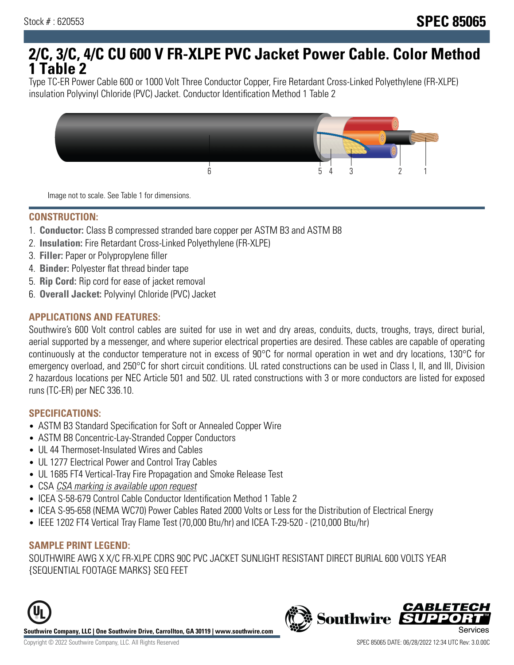# **2/C, 3/C, 4/C CU 600 V FR-XLPE PVC Jacket Power Cable. Color Method 1 Table 2**

Type TC-ER Power Cable 600 or 1000 Volt Three Conductor Copper, Fire Retardant Cross-Linked Polyethylene (FR-XLPE) insulation Polyvinyl Chloride (PVC) Jacket. Conductor Identification Method 1 Table 2



Image not to scale. See Table 1 for dimensions.

#### **CONSTRUCTION:**

- 1. **Conductor:** Class B compressed stranded bare copper per ASTM B3 and ASTM B8
- 2. **Insulation:** Fire Retardant Cross-Linked Polyethylene (FR-XLPE)
- 3. **Filler:** Paper or Polypropylene filler
- 4. **Binder:** Polyester flat thread binder tape
- 5. **Rip Cord:** Rip cord for ease of jacket removal
- 6. **Overall Jacket:** Polyvinyl Chloride (PVC) Jacket

### **APPLICATIONS AND FEATURES:**

Southwire's 600 Volt control cables are suited for use in wet and dry areas, conduits, ducts, troughs, trays, direct burial, aerial supported by a messenger, and where superior electrical properties are desired. These cables are capable of operating continuously at the conductor temperature not in excess of 90°C for normal operation in wet and dry locations, 130°C for emergency overload, and 250°C for short circuit conditions. UL rated constructions can be used in Class I, II, and III, Division 2 hazardous locations per NEC Article 501 and 502. UL rated constructions with 3 or more conductors are listed for exposed runs (TC-ER) per NEC 336.10.

#### **SPECIFICATIONS:**

- ASTM B3 Standard Specification for Soft or Annealed Copper Wire
- ASTM B8 Concentric-Lay-Stranded Copper Conductors
- UL 44 Thermoset-Insulated Wires and Cables
- UL 1277 Electrical Power and Control Tray Cables
- UL 1685 FT4 Vertical-Tray Fire Propagation and Smoke Release Test
- CSA CSA marking is available upon request
- ICEA S-58-679 Control Cable Conductor Identification Method 1 Table 2
- ICEA S-95-658 (NEMA WC70) Power Cables Rated 2000 Volts or Less for the Distribution of Electrical Energy
- IEEE 1202 FT4 Vertical Tray Flame Test (70,000 Btu/hr) and ICEA T-29-520 (210,000 Btu/hr)

#### **SAMPLE PRINT LEGEND:**

SOUTHWIRE AWG X X/C FR-XLPE CDRS 90C PVC JACKET SUNLIGHT RESISTANT DIRECT BURIAL 600 VOLTS YEAR {SEQUENTIAL FOOTAGE MARKS} SEQ FEET